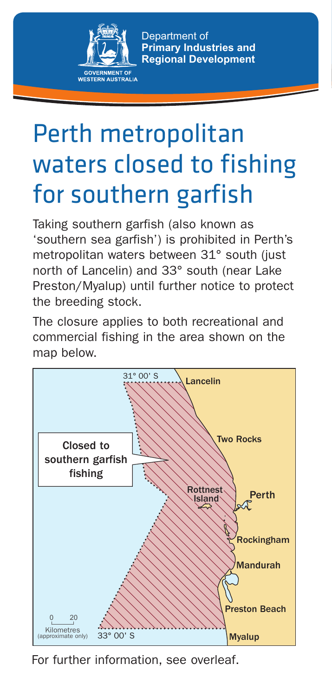

Department of **Primary Industries and Regional Development**

## Perth metropolitan waters closed to fishing for southern garfish

Taking southern garfish (also known as 'southern sea garfish') is prohibited in Perth's metropolitan waters between 31° south (just north of Lancelin) and 33° south (near Lake Preston/Myalup) until further notice to protect the breeding stock.

The closure applies to both recreational and commercial fishing in the area shown on the map below.



For further information, see overleaf.